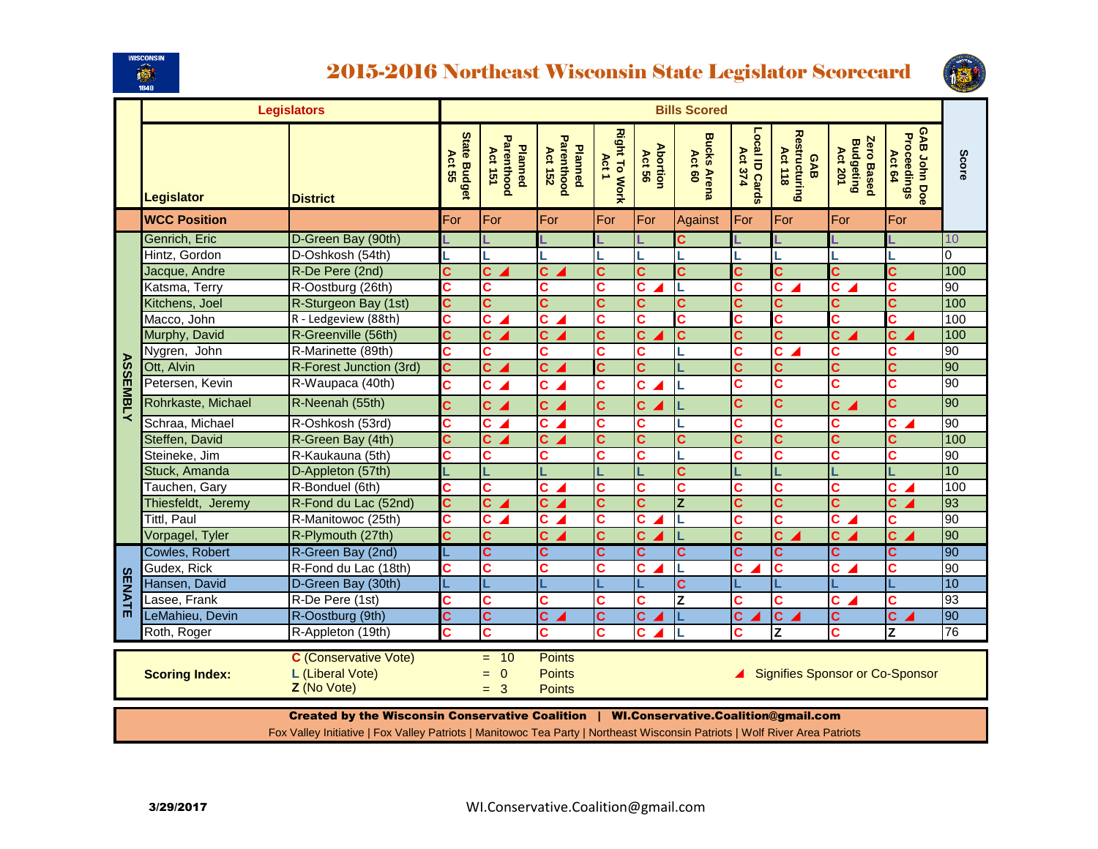

## 2015-2016 Northeast Wisconsin State Legislator Scorecard



|                                                                                                                                                                                                                              | <b>Legislators</b>  |                                                                                                                                                                                                                      |                              | <b>Bills Scored</b>                             |                                                 |                               |                           |                              |                                  |                                        |                                           |                                              |                 |
|------------------------------------------------------------------------------------------------------------------------------------------------------------------------------------------------------------------------------|---------------------|----------------------------------------------------------------------------------------------------------------------------------------------------------------------------------------------------------------------|------------------------------|-------------------------------------------------|-------------------------------------------------|-------------------------------|---------------------------|------------------------------|----------------------------------|----------------------------------------|-------------------------------------------|----------------------------------------------|-----------------|
|                                                                                                                                                                                                                              | <b>Legislator</b>   | <b>District</b>                                                                                                                                                                                                      | <b>State Budge</b><br>Act 55 | Parenthood<br><b>Planned</b><br>Act 151         | <b>Parenthood</b><br><b>Planned</b><br>Act 152  | <b>Right To Work</b><br>Act 1 | <b>Abortion</b><br>Act 56 | <b>Bucks Arena</b><br>Act 60 | Local ID Cards<br><b>Act 374</b> | Restructuring<br>Act 118<br><b>GAB</b> | Zero Based<br><b>Budgeting</b><br>Act 201 | GAB John Doe<br><b>Proceedings</b><br>Act 64 | Score           |
|                                                                                                                                                                                                                              | <b>WCC Position</b> |                                                                                                                                                                                                                      | For                          | For                                             | For                                             | For                           | For                       | Against                      | For                              | For                                    | For                                       | For                                          |                 |
|                                                                                                                                                                                                                              | Genrich, Eric       | D-Green Bay (90th)                                                                                                                                                                                                   |                              |                                                 |                                                 |                               |                           | C                            |                                  |                                        |                                           |                                              | 10              |
|                                                                                                                                                                                                                              | Hintz, Gordon       | D-Oshkosh (54th)                                                                                                                                                                                                     |                              |                                                 |                                                 |                               |                           |                              |                                  |                                        |                                           |                                              | $\overline{0}$  |
|                                                                                                                                                                                                                              | Jacque, Andre       | R-De Pere (2nd)                                                                                                                                                                                                      | Ć                            | Ċ.                                              | Ċ.                                              | Ć                             | Ć                         | C                            | Ċ                                | Ċ.                                     | Ć                                         | Ć                                            | 100             |
|                                                                                                                                                                                                                              | Katsma, Terry       | R-Oostburg (26th)                                                                                                                                                                                                    | Ć                            | Ć                                               | C                                               | C                             | C                         | L                            | Ć                                | C.                                     | $\overline{\mathbf{c}}$                   | C                                            | $\overline{06}$ |
|                                                                                                                                                                                                                              | Kitchens, Joel      | R-Sturgeon Bay (1st)                                                                                                                                                                                                 | $\overline{\mathbf{c}}$      | C                                               | C                                               | $\mathbf{C}$                  | C                         | C                            | C                                | Ć                                      | Ć                                         | C                                            | 100             |
|                                                                                                                                                                                                                              | Macco, John         | R - Ledgeview (88th)                                                                                                                                                                                                 | C                            | C.                                              | $\overline{\mathbf{c}}$ .                       | C                             | C                         | С                            | Ć                                | c                                      | C                                         | С                                            | 100             |
|                                                                                                                                                                                                                              | Murphy, David       | R-Greenville (56th)                                                                                                                                                                                                  | $\overline{\mathbf{c}}$      | $\overline{\mathbf{c}}$                         | $\overline{\mathbf{c}}$                         | $\overline{\mathbf{c}}$       | Ć                         | C                            | $\overline{\mathbf{c}}$          | $\overline{\mathbf{c}}$                | $\overline{\mathbf{c}}$                   | Ċ.                                           | 100             |
|                                                                                                                                                                                                                              | Nygren, John        | R-Marinette (89th)                                                                                                                                                                                                   | C                            | Ć                                               | Ć                                               | Ć                             | Ć                         |                              | Ć                                | C.                                     | Ċ                                         | Ć                                            | $\overline{90}$ |
|                                                                                                                                                                                                                              | Ott, Alvin          | R-Forest Junction (3rd)                                                                                                                                                                                              | $\overline{\mathbf{c}}$      | $\overline{\mathbf{c}}$ $\overline{\mathbf{c}}$ | $\overline{c}$                                  | $\overline{\mathbf{c}}$       | $\mathbf{C}$              |                              | $\overline{\mathbf{c}}$          | Ć                                      | $\overline{\mathbf{c}}$                   | Ć                                            | 90              |
|                                                                                                                                                                                                                              | Petersen, Kevin     | R-Waupaca (40th)                                                                                                                                                                                                     | Ċ                            | $c \blacktriangle$                              | c <sub>A</sub>                                  | Ć                             | C.                        | L                            | C                                | C                                      | C                                         | C                                            | 90              |
| <b>ASSEMBLY</b>                                                                                                                                                                                                              | Rohrkaste, Michael  | R-Neenah (55th)                                                                                                                                                                                                      | Ċ                            | $c \angle$                                      | $c \angle$                                      | Ċ                             | $c_{\angle}$              |                              | Ć                                | Ć                                      | $c \angle$                                | <b>C</b>                                     | 90              |
|                                                                                                                                                                                                                              | Schraa, Michael     | R-Oshkosh (53rd)                                                                                                                                                                                                     | C                            | С                                               | $\overline{c}$                                  | C                             | C                         |                              | Ć                                | C                                      | C                                         | C.                                           | 90              |
|                                                                                                                                                                                                                              | Steffen, David      | R-Green Bay (4th)                                                                                                                                                                                                    | Ć                            | C                                               | $\overline{\mathbf{c}}$ $\overline{\mathbf{c}}$ | Ć                             | Ć                         | C                            | $\overline{\mathbf{c}}$          | Ć                                      | Ć                                         | Ć                                            | 100             |
|                                                                                                                                                                                                                              | Steineke, Jim       | R-Kaukauna (5th)                                                                                                                                                                                                     | $\overline{\mathbf{c}}$      | Ć                                               | C                                               | $\overline{\mathbf{c}}$       | Ć                         |                              | $\overline{\mathbf{c}}$          | Ċ                                      | C                                         | Ć                                            | 90              |
|                                                                                                                                                                                                                              | Stuck, Amanda       | D-Appleton (57th)                                                                                                                                                                                                    |                              |                                                 |                                                 |                               |                           | C                            |                                  |                                        |                                           |                                              | 10              |
|                                                                                                                                                                                                                              | Tauchen, Gary       | R-Bonduel (6th)                                                                                                                                                                                                      | Ć                            | Ć                                               | $\mathbf{c}$ $\mathbf{A}$                       | Ċ.                            | C                         | C                            | Ć                                | c                                      | C                                         | C.                                           | 100             |
|                                                                                                                                                                                                                              | Thiesfeldt, Jeremy  | R-Fond du Lac (52nd)                                                                                                                                                                                                 | $\overline{\mathbf{c}}$      | C                                               | $c_{\angle}$                                    | C                             | C                         | $\overline{z}$               | C                                | Ć                                      | $\overline{\mathbf{c}}$                   | C.                                           | 93              |
|                                                                                                                                                                                                                              | <b>Tittl, Paul</b>  | R-Manitowoc (25th)                                                                                                                                                                                                   | C                            | C.                                              | c <sub>4</sub>                                  | Ċ                             | C.                        | L                            | Ć                                | C                                      | $\overline{c}$                            | C                                            | 90              |
|                                                                                                                                                                                                                              | Vorpagel, Tyler     | R-Plymouth (27th)                                                                                                                                                                                                    | $\overline{\mathbf{c}}$      | Ć                                               | $\overline{\mathbf{c}}$ $\overline{\mathbf{c}}$ | Ć                             | $\mathbf{C}$              |                              | $\overline{\mathbf{c}}$          | Ċ.                                     | c <sub>4</sub>                            | $c \angle$                                   | 90              |
|                                                                                                                                                                                                                              | Cowles, Robert      | R-Green Bay (2nd)                                                                                                                                                                                                    |                              | $\overline{\mathbf{c}}$                         | Ć                                               | C                             | C.                        | C                            | $\overline{\mathbf{c}}$          | C                                      | Ć                                         | Ċ.                                           | 90              |
|                                                                                                                                                                                                                              | Gudex, Rick         | R-Fond du Lac (18th)                                                                                                                                                                                                 | C                            | C                                               | C                                               | C                             | С                         | L                            | C                                | c                                      | C.                                        | С                                            | 90              |
| <b>SENATE</b>                                                                                                                                                                                                                | Hansen, David       | D-Green Bay (30th)                                                                                                                                                                                                   |                              |                                                 |                                                 |                               |                           | C                            |                                  |                                        |                                           |                                              | 10              |
|                                                                                                                                                                                                                              | Lasee, Frank        | R-De Pere (1st)                                                                                                                                                                                                      | C                            | C                                               | Ć                                               | Ć                             | C                         | Z                            | $\overline{\mathbf{c}}$          | Ć                                      | $\overline{\mathbf{c}}$                   | Ć                                            | 93              |
|                                                                                                                                                                                                                              | LeMahieu, Devin     | R-Oostburg (9th)                                                                                                                                                                                                     | $\overline{\mathbf{c}}$      | $\overline{\mathbf{c}}$                         | C                                               | C                             | C                         |                              | C                                | C                                      | Ć                                         | C                                            | 90              |
|                                                                                                                                                                                                                              | Roth, Roger         | R-Appleton (19th)                                                                                                                                                                                                    | Ć                            | Ċ                                               | C                                               | Ć                             | C.                        |                              | Ć                                | Z                                      | Ć                                         | Z                                            | 76              |
| <b>C</b> (Conservative Vote)<br><b>Points</b><br>10<br>Ξ.<br>L (Liberal Vote)<br>$\mathbf 0$<br><b>Points</b><br><b>Signifies Sponsor or Co-Sponsor</b><br><b>Scoring Index:</b><br>$=$<br>Z (No Vote)<br>3<br><b>Points</b> |                     |                                                                                                                                                                                                                      |                              |                                                 |                                                 |                               |                           |                              |                                  |                                        |                                           |                                              |                 |
|                                                                                                                                                                                                                              |                     | Created by the Wisconsin Conservative Coalition   WI.Conservative.Coalition@gmail.com<br>Fox Valley Initiative   Fox Valley Patriots   Manitowoc Tea Party   Northeast Wisconsin Patriots   Wolf River Area Patriots |                              |                                                 |                                                 |                               |                           |                              |                                  |                                        |                                           |                                              |                 |